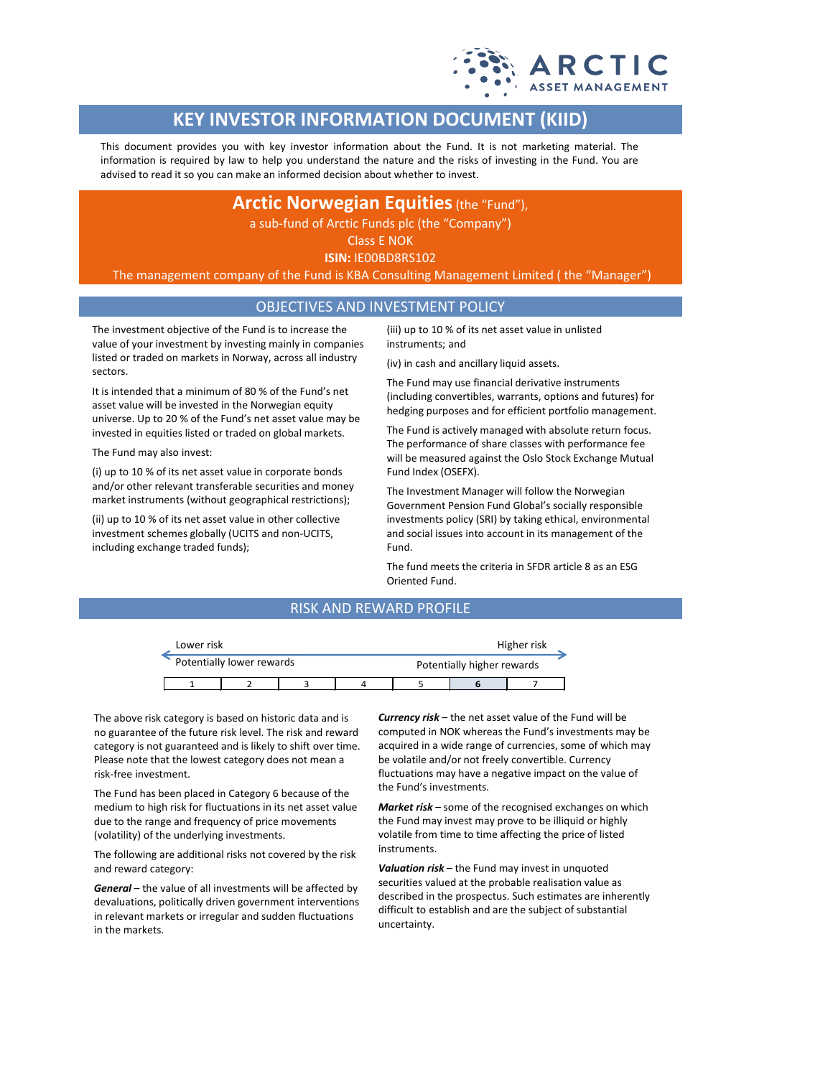

# **KEY INVESTOR INFORMATION DOCUMENT (KIID)**

This document provides you with key investor information about the Fund. It is not marketing material. The information is required by law to help you understand the nature and the risks of investing in the Fund. You are advised to read it so you can make an informed decision about whether to invest.

## **Arctic Norwegian Equities** (the "Fund"),

a sub-fund of Arctic Funds plc (the "Company")

Class E NOK **ISIN:** IE00BD8RS102

The management company of the Fund is KBA Consulting Management Limited ( the "Manager")

#### OBJECTIVES AND INVESTMENT POLICY

The investment objective of the Fund is to increase the value of your investment by investing mainly in companies listed or traded on markets in Norway, across all industry sectors.

It is intended that a minimum of 80 % of the Fund's net asset value will be invested in the Norwegian equity universe. Up to 20 % of the Fund's net asset value may be invested in equities listed or traded on global markets.

The Fund may also invest:

(i) up to 10 % of its net asset value in corporate bonds and/or other relevant transferable securities and money market instruments (without geographical restrictions);

(ii) up to 10 % of its net asset value in other collective investment schemes globally (UCITS and non-UCITS, including exchange traded funds);

(iii) up to 10 % of its net asset value in unlisted instruments; and

(iv) in cash and ancillary liquid assets.

The Fund may use financial derivative instruments (including convertibles, warrants, options and futures) for hedging purposes and for efficient portfolio management.

The Fund is actively managed with absolute return focus. The performance of share classes with performance fee will be measured against the Oslo Stock Exchange Mutual Fund Index (OSEFX).

The Investment Manager will follow the Norwegian Government Pension Fund Global's socially responsible investments policy (SRI) by taking ethical, environmental and social issues into account in its management of the Fund.

The fund meets the criteria in SFDR article 8 as an ESG Oriented Fund.

### RISK AND REWARD PROFILE

| Lower risk                |  |  |                            | Higher risk |  |  |  |
|---------------------------|--|--|----------------------------|-------------|--|--|--|
| Potentially lower rewards |  |  | Potentially higher rewards |             |  |  |  |
|                           |  |  |                            |             |  |  |  |

The above risk category is based on historic data and is no guarantee of the future risk level. The risk and reward category is not guaranteed and is likely to shift over time. Please note that the lowest category does not mean a risk-free investment.

The Fund has been placed in Category 6 because of the medium to high risk for fluctuations in its net asset value due to the range and frequency of price movements (volatility) of the underlying investments.

The following are additional risks not covered by the risk and reward category:

*General* – the value of all investments will be affected by devaluations, politically driven government interventions in relevant markets or irregular and sudden fluctuations in the markets.

*Currency risk* – the net asset value of the Fund will be computed in NOK whereas the Fund's investments may be acquired in a wide range of currencies, some of which may be volatile and/or not freely convertible. Currency fluctuations may have a negative impact on the value of the Fund's investments.

*Market risk* – some of the recognised exchanges on which the Fund may invest may prove to be illiquid or highly volatile from time to time affecting the price of listed instruments.

*Valuation risk* – the Fund may invest in unquoted securities valued at the probable realisation value as described in the prospectus. Such estimates are inherently difficult to establish and are the subject of substantial uncertainty.